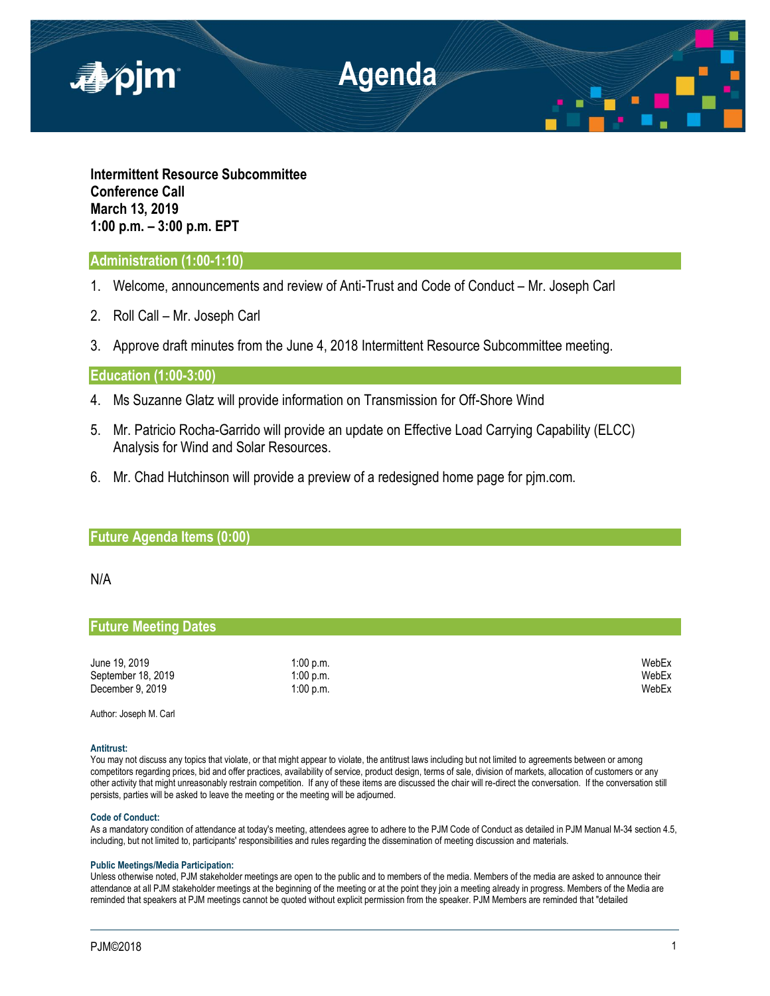

**Intermittent Resource Subcommittee Conference Call March 13, 2019 1:00 p.m. – 3:00 p.m. EPT**

# **Administration (1:00-1:10)**

- 1. Welcome, announcements and review of Anti-Trust and Code of Conduct Mr. Joseph Carl
- 2. Roll Call Mr. Joseph Carl
- 3. Approve draft minutes from the June 4, 2018 Intermittent Resource Subcommittee meeting.

## **Education (1:00-3:00)**

- 4. Ms Suzanne Glatz will provide information on Transmission for Off-Shore Wind
- 5. Mr. Patricio Rocha-Garrido will provide an update on Effective Load Carrying Capability (ELCC) Analysis for Wind and Solar Resources.
- 6. Mr. Chad Hutchinson will provide a preview of a redesigned home page for pjm.com.

## **Future Agenda Items (0:00)**

### N/A

## **Future Meeting Dates**

| June 19, 2019      | 1:00 p.m. | WebEx |
|--------------------|-----------|-------|
| September 18, 2019 | 1:00 p.m. | WebEx |
| December 9, 2019   | 1:00 p.m. | WebEx |

Author: Joseph M. Carl

#### **Antitrust:**

You may not discuss any topics that violate, or that might appear to violate, the antitrust laws including but not limited to agreements between or among competitors regarding prices, bid and offer practices, availability of service, product design, terms of sale, division of markets, allocation of customers or any other activity that might unreasonably restrain competition. If any of these items are discussed the chair will re-direct the conversation. If the conversation still persists, parties will be asked to leave the meeting or the meeting will be adjourned.

#### **Code of Conduct:**

As a mandatory condition of attendance at today's meeting, attendees agree to adhere to the PJM Code of Conduct as detailed in PJM Manual M-34 section 4.5, including, but not limited to, participants' responsibilities and rules regarding the dissemination of meeting discussion and materials.

#### **Public Meetings/Media Participation:**

Unless otherwise noted, PJM stakeholder meetings are open to the public and to members of the media. Members of the media are asked to announce their attendance at all PJM stakeholder meetings at the beginning of the meeting or at the point they join a meeting already in progress. Members of the Media are reminded that speakers at PJM meetings cannot be quoted without explicit permission from the speaker. PJM Members are reminded that "detailed